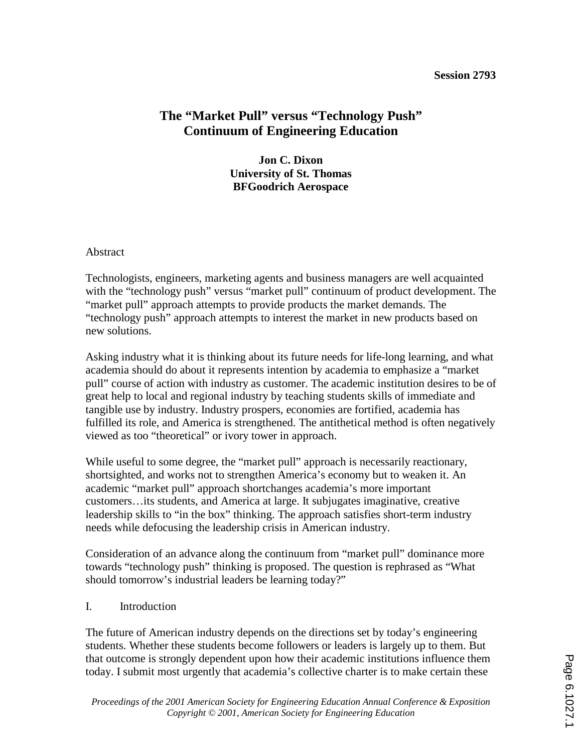#### **Session 2793**

# **The "Market Pull" versus "Technology Push" Continuum of Engineering Education**

**Jon C. Dixon University of St. Thomas BFGoodrich Aerospace** 

#### Abstract

Technologists, engineers, marketing agents and business managers are well acquainted with the "technology push" versus "market pull" continuum of product development. The "market pull" approach attempts to provide products the market demands. The "technology push" approach attempts to interest the market in new products based on new solutions.

Asking industry what it is thinking about its future needs for life-long learning, and what academia should do about it represents intention by academia to emphasize a "market pull" course of action with industry as customer. The academic institution desires to be of great help to local and regional industry by teaching students skills of immediate and tangible use by industry. Industry prospers, economies are fortified, academia has fulfilled its role, and America is strengthened. The antithetical method is often negatively viewed as too "theoretical" or ivory tower in approach.

While useful to some degree, the "market pull" approach is necessarily reactionary, shortsighted, and works not to strengthen America's economy but to weaken it. An academic "market pull" approach shortchanges academia's more important customers…its students, and America at large. It subjugates imaginative, creative leadership skills to "in the box" thinking. The approach satisfies short-term industry needs while defocusing the leadership crisis in American industry.

Consideration of an advance along the continuum from "market pull" dominance more towards "technology push" thinking is proposed. The question is rephrased as "What should tomorrow's industrial leaders be learning today?"

#### I. Introduction

The future of American industry depends on the directions set by today's engineering students. Whether these students become followers or leaders is largely up to them. But that outcome is strongly dependent upon how their academic institutions influence them today. I submit most urgently that academia's collective charter is to make certain these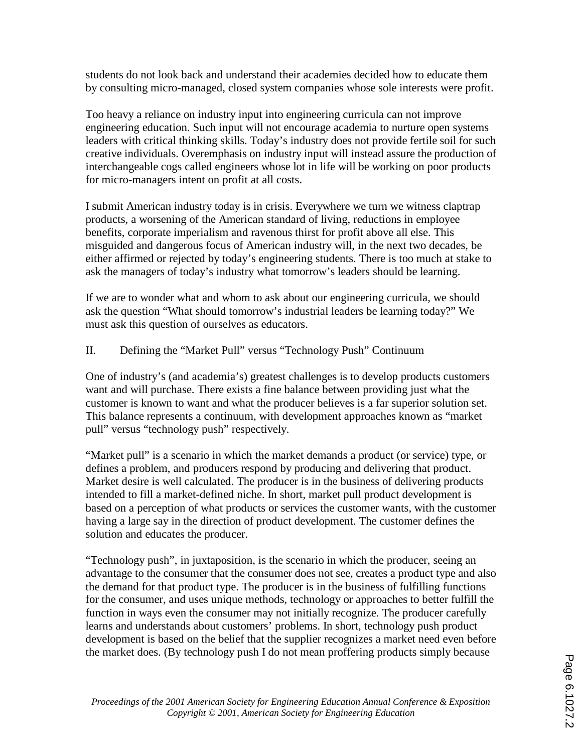students do not look back and understand their academies decided how to educate them by consulting micro-managed, closed system companies whose sole interests were profit.

Too heavy a reliance on industry input into engineering curricula can not improve engineering education. Such input will not encourage academia to nurture open systems leaders with critical thinking skills. Today's industry does not provide fertile soil for such creative individuals. Overemphasis on industry input will instead assure the production of interchangeable cogs called engineers whose lot in life will be working on poor products for micro-managers intent on profit at all costs.

I submit American industry today is in crisis. Everywhere we turn we witness claptrap products, a worsening of the American standard of living, reductions in employee benefits, corporate imperialism and ravenous thirst for profit above all else. This misguided and dangerous focus of American industry will, in the next two decades, be either affirmed or rejected by today's engineering students. There is too much at stake to ask the managers of today's industry what tomorrow's leaders should be learning.

If we are to wonder what and whom to ask about our engineering curricula, we should ask the question "What should tomorrow's industrial leaders be learning today?" We must ask this question of ourselves as educators.

## II. Defining the "Market Pull" versus "Technology Push" Continuum

One of industry's (and academia's) greatest challenges is to develop products customers want and will purchase. There exists a fine balance between providing just what the customer is known to want and what the producer believes is a far superior solution set. This balance represents a continuum, with development approaches known as "market pull" versus "technology push" respectively.

"Market pull" is a scenario in which the market demands a product (or service) type, or defines a problem, and producers respond by producing and delivering that product. Market desire is well calculated. The producer is in the business of delivering products intended to fill a market-defined niche. In short, market pull product development is based on a perception of what products or services the customer wants, with the customer having a large say in the direction of product development. The customer defines the solution and educates the producer.

"Technology push", in juxtaposition, is the scenario in which the producer, seeing an advantage to the consumer that the consumer does not see, creates a product type and also the demand for that product type. The producer is in the business of fulfilling functions for the consumer, and uses unique methods, technology or approaches to better fulfill the function in ways even the consumer may not initially recognize. The producer carefully learns and understands about customers' problems. In short, technology push product development is based on the belief that the supplier recognizes a market need even before the market does. (By technology push I do not mean proffering products simply because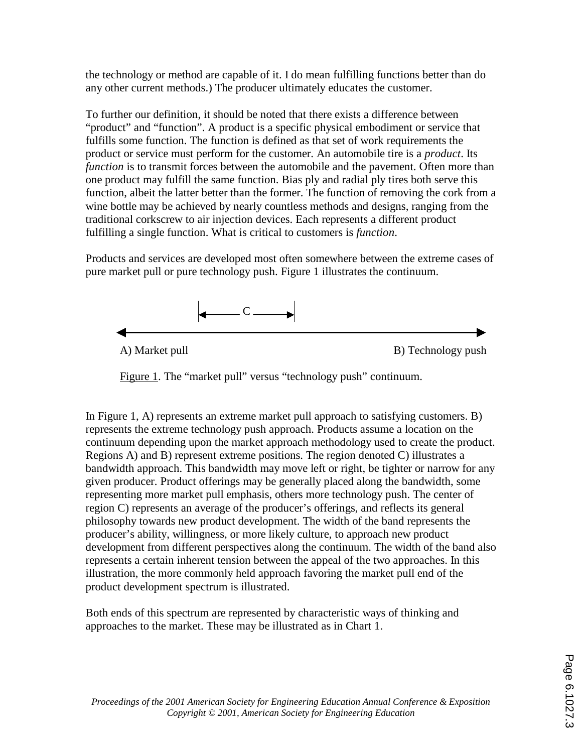the technology or method are capable of it. I do mean fulfilling functions better than do any other current methods.) The producer ultimately educates the customer.

To further our definition, it should be noted that there exists a difference between "product" and "function". A product is a specific physical embodiment or service that fulfills some function. The function is defined as that set of work requirements the product or service must perform for the customer. An automobile tire is a *product*. Its *function* is to transmit forces between the automobile and the pavement. Often more than one product may fulfill the same function. Bias ply and radial ply tires both serve this function, albeit the latter better than the former. The function of removing the cork from a wine bottle may be achieved by nearly countless methods and designs, ranging from the traditional corkscrew to air injection devices. Each represents a different product fulfilling a single function. What is critical to customers is *function*.

Products and services are developed most often somewhere between the extreme cases of pure market pull or pure technology push. Figure 1 illustrates the continuum.



Figure 1. The "market pull" versus "technology push" continuum.

In Figure 1, A) represents an extreme market pull approach to satisfying customers. B) represents the extreme technology push approach. Products assume a location on the continuum depending upon the market approach methodology used to create the product. Regions A) and B) represent extreme positions. The region denoted C) illustrates a bandwidth approach. This bandwidth may move left or right, be tighter or narrow for any given producer. Product offerings may be generally placed along the bandwidth, some representing more market pull emphasis, others more technology push. The center of region C) represents an average of the producer's offerings, and reflects its general philosophy towards new product development. The width of the band represents the producer's ability, willingness, or more likely culture, to approach new product development from different perspectives along the continuum. The width of the band also represents a certain inherent tension between the appeal of the two approaches. In this illustration, the more commonly held approach favoring the market pull end of the product development spectrum is illustrated.

Both ends of this spectrum are represented by characteristic ways of thinking and approaches to the market. These may be illustrated as in Chart 1.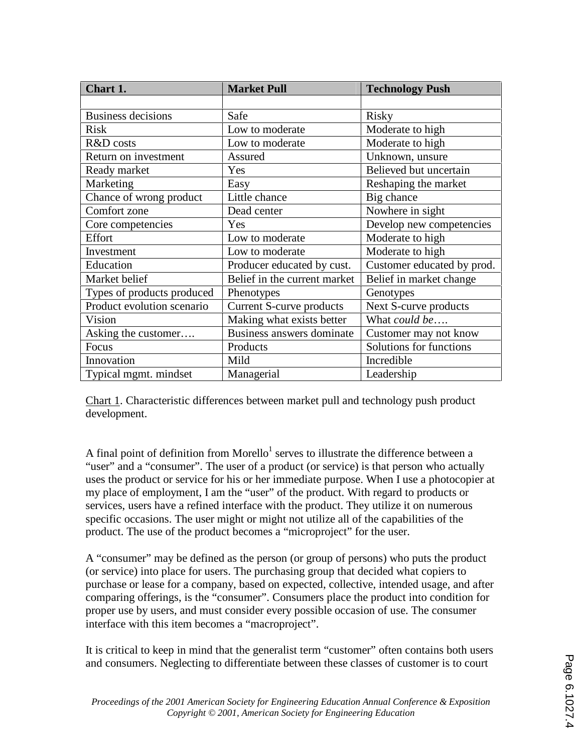| Chart 1.                   | <b>Market Pull</b>              | <b>Technology Push</b>     |
|----------------------------|---------------------------------|----------------------------|
|                            |                                 |                            |
| <b>Business decisions</b>  | Safe                            | Risky                      |
| <b>Risk</b>                | Low to moderate                 | Moderate to high           |
| R&D costs                  | Low to moderate                 | Moderate to high           |
| Return on investment       | Assured                         | Unknown, unsure            |
| Ready market               | Yes                             | Believed but uncertain     |
| Marketing                  | Easy                            | Reshaping the market       |
| Chance of wrong product    | Little chance                   | Big chance                 |
| Comfort zone               | Dead center                     | Nowhere in sight           |
| Core competencies          | Yes                             | Develop new competencies   |
| Effort                     | Low to moderate                 | Moderate to high           |
| Investment                 | Low to moderate                 | Moderate to high           |
| Education                  | Producer educated by cust.      | Customer educated by prod. |
| Market belief              | Belief in the current market    | Belief in market change    |
| Types of products produced | Phenotypes                      | Genotypes                  |
| Product evolution scenario | <b>Current S-curve products</b> | Next S-curve products      |
| Vision                     | Making what exists better       | What could be              |
| Asking the customer        | Business answers dominate       | Customer may not know      |
| Focus                      | Products                        | Solutions for functions    |
| Innovation                 | Mild                            | Incredible                 |
| Typical mgmt. mindset      | Managerial                      | Leadership                 |

Chart 1. Characteristic differences between market pull and technology push product development.

A final point of definition from Morello<sup>1</sup> serves to illustrate the difference between a "user" and a "consumer". The user of a product (or service) is that person who actually uses the product or service for his or her immediate purpose. When I use a photocopier at my place of employment, I am the "user" of the product. With regard to products or services, users have a refined interface with the product. They utilize it on numerous specific occasions. The user might or might not utilize all of the capabilities of the product. The use of the product becomes a "microproject" for the user.

A "consumer" may be defined as the person (or group of persons) who puts the product (or service) into place for users. The purchasing group that decided what copiers to purchase or lease for a company, based on expected, collective, intended usage, and after comparing offerings, is the "consumer". Consumers place the product into condition for proper use by users, and must consider every possible occasion of use. The consumer interface with this item becomes a "macroproject".

It is critical to keep in mind that the generalist term "customer" often contains both users and consumers. Neglecting to differentiate between these classes of customer is to court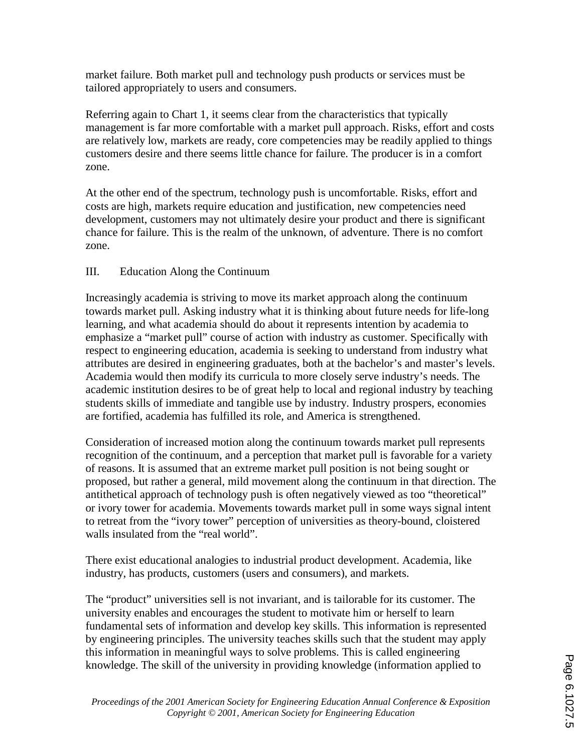market failure. Both market pull and technology push products or services must be tailored appropriately to users and consumers.

Referring again to Chart 1, it seems clear from the characteristics that typically management is far more comfortable with a market pull approach. Risks, effort and costs are relatively low, markets are ready, core competencies may be readily applied to things customers desire and there seems little chance for failure. The producer is in a comfort zone.

At the other end of the spectrum, technology push is uncomfortable. Risks, effort and costs are high, markets require education and justification, new competencies need development, customers may not ultimately desire your product and there is significant chance for failure. This is the realm of the unknown, of adventure. There is no comfort zone.

# III. Education Along the Continuum

Increasingly academia is striving to move its market approach along the continuum towards market pull. Asking industry what it is thinking about future needs for life-long learning, and what academia should do about it represents intention by academia to emphasize a "market pull" course of action with industry as customer. Specifically with respect to engineering education, academia is seeking to understand from industry what attributes are desired in engineering graduates, both at the bachelor's and master's levels. Academia would then modify its curricula to more closely serve industry's needs. The academic institution desires to be of great help to local and regional industry by teaching students skills of immediate and tangible use by industry. Industry prospers, economies are fortified, academia has fulfilled its role, and America is strengthened.

Consideration of increased motion along the continuum towards market pull represents recognition of the continuum, and a perception that market pull is favorable for a variety of reasons. It is assumed that an extreme market pull position is not being sought or proposed, but rather a general, mild movement along the continuum in that direction. The antithetical approach of technology push is often negatively viewed as too "theoretical" or ivory tower for academia. Movements towards market pull in some ways signal intent to retreat from the "ivory tower" perception of universities as theory-bound, cloistered walls insulated from the "real world".

There exist educational analogies to industrial product development. Academia, like industry, has products, customers (users and consumers), and markets.

The "product" universities sell is not invariant, and is tailorable for its customer. The university enables and encourages the student to motivate him or herself to learn fundamental sets of information and develop key skills. This information is represented by engineering principles. The university teaches skills such that the student may apply this information in meaningful ways to solve problems. This is called engineering knowledge. The skill of the university in providing knowledge (information applied to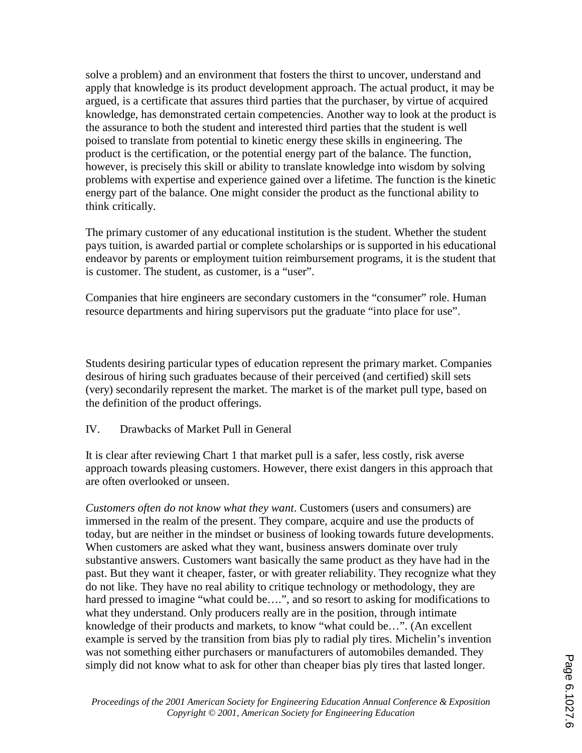solve a problem) and an environment that fosters the thirst to uncover, understand and apply that knowledge is its product development approach. The actual product, it may be argued, is a certificate that assures third parties that the purchaser, by virtue of acquired knowledge, has demonstrated certain competencies. Another way to look at the product is the assurance to both the student and interested third parties that the student is well poised to translate from potential to kinetic energy these skills in engineering. The product is the certification, or the potential energy part of the balance. The function, however, is precisely this skill or ability to translate knowledge into wisdom by solving problems with expertise and experience gained over a lifetime. The function is the kinetic energy part of the balance. One might consider the product as the functional ability to think critically.

The primary customer of any educational institution is the student. Whether the student pays tuition, is awarded partial or complete scholarships or is supported in his educational endeavor by parents or employment tuition reimbursement programs, it is the student that is customer. The student, as customer, is a "user".

Companies that hire engineers are secondary customers in the "consumer" role. Human resource departments and hiring supervisors put the graduate "into place for use".

Students desiring particular types of education represent the primary market. Companies desirous of hiring such graduates because of their perceived (and certified) skill sets (very) secondarily represent the market. The market is of the market pull type, based on the definition of the product offerings.

IV. Drawbacks of Market Pull in General

It is clear after reviewing Chart 1 that market pull is a safer, less costly, risk averse approach towards pleasing customers. However, there exist dangers in this approach that are often overlooked or unseen.

*Customers often do not know what they want*. Customers (users and consumers) are immersed in the realm of the present. They compare, acquire and use the products of today, but are neither in the mindset or business of looking towards future developments. When customers are asked what they want, business answers dominate over truly substantive answers. Customers want basically the same product as they have had in the past. But they want it cheaper, faster, or with greater reliability. They recognize what they do not like. They have no real ability to critique technology or methodology, they are hard pressed to imagine "what could be....", and so resort to asking for modifications to what they understand. Only producers really are in the position, through intimate knowledge of their products and markets, to know "what could be…". (An excellent example is served by the transition from bias ply to radial ply tires. Michelin's invention was not something either purchasers or manufacturers of automobiles demanded. They simply did not know what to ask for other than cheaper bias ply tires that lasted longer.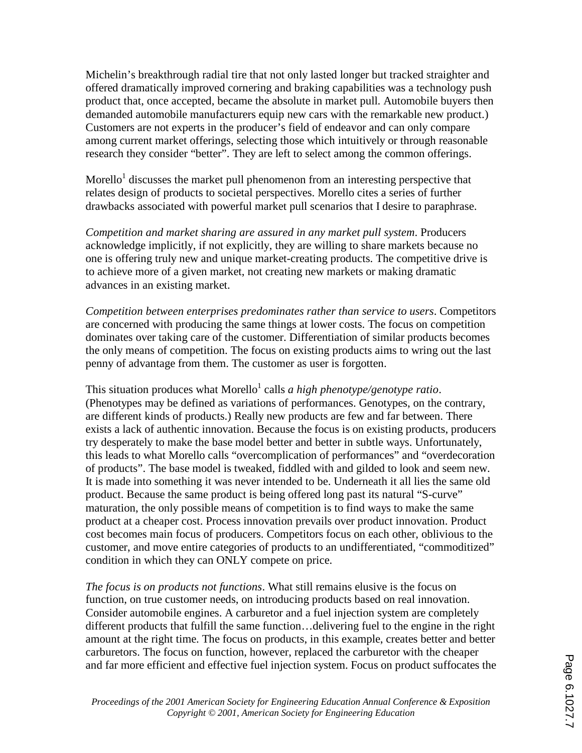Michelin's breakthrough radial tire that not only lasted longer but tracked straighter and offered dramatically improved cornering and braking capabilities was a technology push product that, once accepted, became the absolute in market pull. Automobile buyers then demanded automobile manufacturers equip new cars with the remarkable new product.) Customers are not experts in the producer's field of endeavor and can only compare among current market offerings, selecting those which intuitively or through reasonable research they consider "better". They are left to select among the common offerings.

Morello<sup>1</sup> discusses the market pull phenomenon from an interesting perspective that relates design of products to societal perspectives. Morello cites a series of further drawbacks associated with powerful market pull scenarios that I desire to paraphrase.

*Competition and market sharing are assured in any market pull system*. Producers acknowledge implicitly, if not explicitly, they are willing to share markets because no one is offering truly new and unique market-creating products. The competitive drive is to achieve more of a given market, not creating new markets or making dramatic advances in an existing market.

*Competition between enterprises predominates rather than service to users*. Competitors are concerned with producing the same things at lower costs. The focus on competition dominates over taking care of the customer. Differentiation of similar products becomes the only means of competition. The focus on existing products aims to wring out the last penny of advantage from them. The customer as user is forgotten.

This situation produces what Morello<sup>1</sup> calls *a high phenotype/genotype ratio*. (Phenotypes may be defined as variations of performances. Genotypes, on the contrary, are different kinds of products.) Really new products are few and far between. There exists a lack of authentic innovation. Because the focus is on existing products, producers try desperately to make the base model better and better in subtle ways. Unfortunately, this leads to what Morello calls "overcomplication of performances" and "overdecoration of products". The base model is tweaked, fiddled with and gilded to look and seem new. It is made into something it was never intended to be. Underneath it all lies the same old product. Because the same product is being offered long past its natural "S-curve" maturation, the only possible means of competition is to find ways to make the same product at a cheaper cost. Process innovation prevails over product innovation. Product cost becomes main focus of producers. Competitors focus on each other, oblivious to the customer, and move entire categories of products to an undifferentiated, "commoditized" condition in which they can ONLY compete on price.

*The focus is on products not functions*. What still remains elusive is the focus on function, on true customer needs, on introducing products based on real innovation. Consider automobile engines. A carburetor and a fuel injection system are completely different products that fulfill the same function…delivering fuel to the engine in the right amount at the right time. The focus on products, in this example, creates better and better carburetors. The focus on function, however, replaced the carburetor with the cheaper and far more efficient and effective fuel injection system. Focus on product suffocates the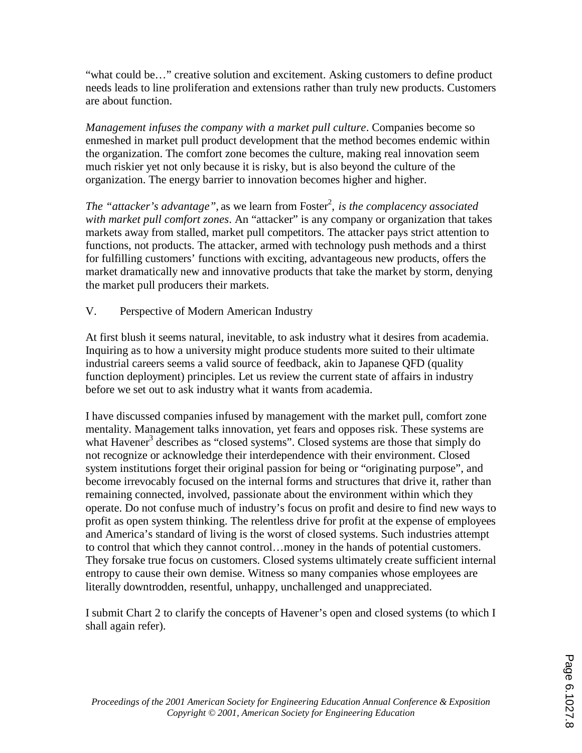"what could be…" creative solution and excitement. Asking customers to define product needs leads to line proliferation and extensions rather than truly new products. Customers are about function.

*Management infuses the company with a market pull culture*. Companies become so enmeshed in market pull product development that the method becomes endemic within the organization. The comfort zone becomes the culture, making real innovation seem much riskier yet not only because it is risky, but is also beyond the culture of the organization. The energy barrier to innovation becomes higher and higher.

The "attacker's advantage", as we learn from Foster<sup>2</sup>, is the complacency associated *with market pull comfort zones*. An "attacker" is any company or organization that takes markets away from stalled, market pull competitors. The attacker pays strict attention to functions, not products. The attacker, armed with technology push methods and a thirst for fulfilling customers' functions with exciting, advantageous new products, offers the market dramatically new and innovative products that take the market by storm, denying the market pull producers their markets.

V. Perspective of Modern American Industry

At first blush it seems natural, inevitable, to ask industry what it desires from academia. Inquiring as to how a university might produce students more suited to their ultimate industrial careers seems a valid source of feedback, akin to Japanese QFD (quality function deployment) principles. Let us review the current state of affairs in industry before we set out to ask industry what it wants from academia.

I have discussed companies infused by management with the market pull, comfort zone mentality. Management talks innovation, yet fears and opposes risk. These systems are what Havener<sup>3</sup> describes as "closed systems". Closed systems are those that simply do not recognize or acknowledge their interdependence with their environment. Closed system institutions forget their original passion for being or "originating purpose", and become irrevocably focused on the internal forms and structures that drive it, rather than remaining connected, involved, passionate about the environment within which they operate. Do not confuse much of industry's focus on profit and desire to find new ways to profit as open system thinking. The relentless drive for profit at the expense of employees and America's standard of living is the worst of closed systems. Such industries attempt to control that which they cannot control…money in the hands of potential customers. They forsake true focus on customers. Closed systems ultimately create sufficient internal entropy to cause their own demise. Witness so many companies whose employees are literally downtrodden, resentful, unhappy, unchallenged and unappreciated.

I submit Chart 2 to clarify the concepts of Havener's open and closed systems (to which I shall again refer).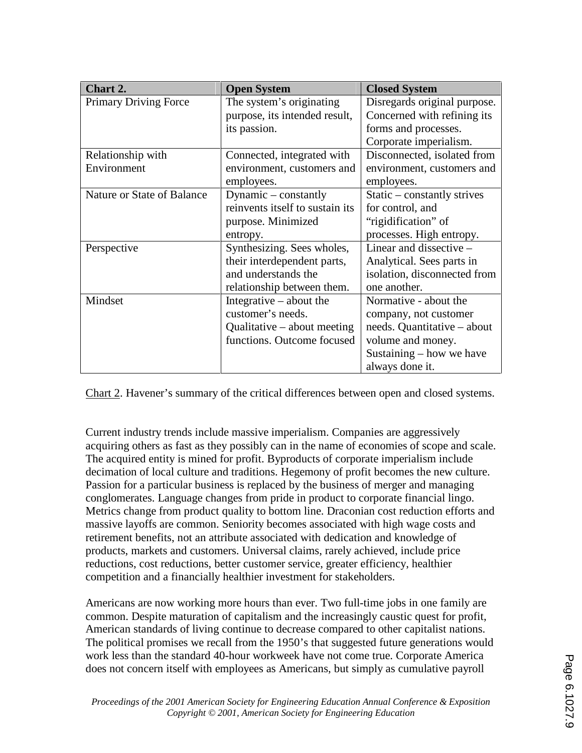| Chart 2.                     | <b>Open System</b>              | <b>Closed System</b>          |
|------------------------------|---------------------------------|-------------------------------|
| <b>Primary Driving Force</b> | The system's originating        | Disregards original purpose.  |
|                              | purpose, its intended result,   | Concerned with refining its   |
|                              | its passion.                    | forms and processes.          |
|                              |                                 | Corporate imperialism.        |
| Relationship with            | Connected, integrated with      | Disconnected, isolated from   |
| Environment                  | environment, customers and      | environment, customers and    |
|                              | employees.                      | employees.                    |
| Nature or State of Balance   | Dynamic $-$ constantly          | Static $-$ constantly strives |
|                              | reinvents itself to sustain its | for control, and              |
|                              | purpose. Minimized              | "rigidification" of           |
|                              | entropy.                        | processes. High entropy.      |
| Perspective                  | Synthesizing. Sees wholes,      | Linear and dissective $-$     |
|                              | their interdependent parts,     | Analytical. Sees parts in     |
|                              | and understands the             | isolation, disconnected from  |
|                              | relationship between them.      | one another.                  |
| Mindset                      | Integrative $-$ about the       | Normative - about the         |
|                              | customer's needs.               | company, not customer         |
|                              | Qualitative $-$ about meeting   | needs. Quantitative – about   |
|                              | functions. Outcome focused      | volume and money.             |
|                              |                                 | Sustaining $-$ how we have    |
|                              |                                 | always done it.               |

Chart 2. Havener's summary of the critical differences between open and closed systems.

Current industry trends include massive imperialism. Companies are aggressively acquiring others as fast as they possibly can in the name of economies of scope and scale. The acquired entity is mined for profit. Byproducts of corporate imperialism include decimation of local culture and traditions. Hegemony of profit becomes the new culture. Passion for a particular business is replaced by the business of merger and managing conglomerates. Language changes from pride in product to corporate financial lingo. Metrics change from product quality to bottom line. Draconian cost reduction efforts and massive layoffs are common. Seniority becomes associated with high wage costs and retirement benefits, not an attribute associated with dedication and knowledge of products, markets and customers. Universal claims, rarely achieved, include price reductions, cost reductions, better customer service, greater efficiency, healthier competition and a financially healthier investment for stakeholders.

Americans are now working more hours than ever. Two full-time jobs in one family are common. Despite maturation of capitalism and the increasingly caustic quest for profit, American standards of living continue to decrease compared to other capitalist nations. The political promises we recall from the 1950's that suggested future generations would work less than the standard 40-hour workweek have not come true. Corporate America does not concern itself with employees as Americans, but simply as cumulative payroll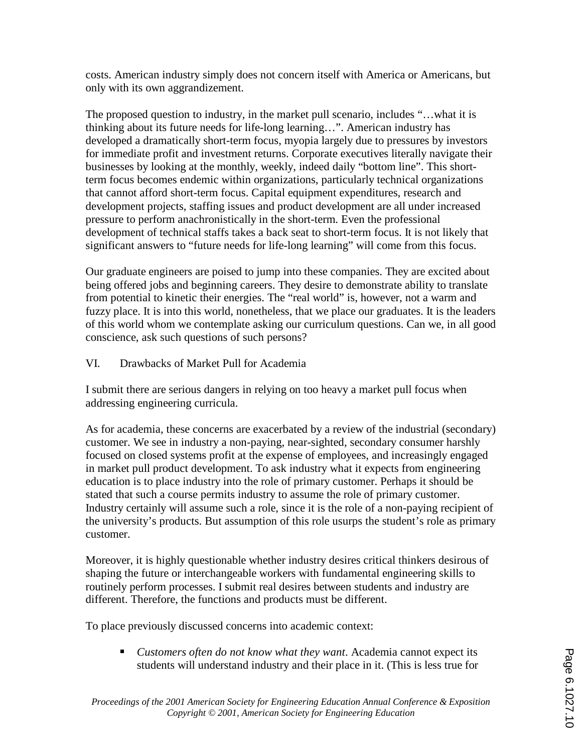costs. American industry simply does not concern itself with America or Americans, but only with its own aggrandizement.

The proposed question to industry, in the market pull scenario, includes "…what it is thinking about its future needs for life-long learning…". American industry has developed a dramatically short-term focus, myopia largely due to pressures by investors for immediate profit and investment returns. Corporate executives literally navigate their businesses by looking at the monthly, weekly, indeed daily "bottom line". This shortterm focus becomes endemic within organizations, particularly technical organizations that cannot afford short-term focus. Capital equipment expenditures, research and development projects, staffing issues and product development are all under increased pressure to perform anachronistically in the short-term. Even the professional development of technical staffs takes a back seat to short-term focus. It is not likely that significant answers to "future needs for life-long learning" will come from this focus.

Our graduate engineers are poised to jump into these companies. They are excited about being offered jobs and beginning careers. They desire to demonstrate ability to translate from potential to kinetic their energies. The "real world" is, however, not a warm and fuzzy place. It is into this world, nonetheless, that we place our graduates. It is the leaders of this world whom we contemplate asking our curriculum questions. Can we, in all good conscience, ask such questions of such persons?

# VI. Drawbacks of Market Pull for Academia

I submit there are serious dangers in relying on too heavy a market pull focus when addressing engineering curricula.

As for academia, these concerns are exacerbated by a review of the industrial (secondary) customer. We see in industry a non-paying, near-sighted, secondary consumer harshly focused on closed systems profit at the expense of employees, and increasingly engaged in market pull product development. To ask industry what it expects from engineering education is to place industry into the role of primary customer. Perhaps it should be stated that such a course permits industry to assume the role of primary customer. Industry certainly will assume such a role, since it is the role of a non-paying recipient of the university's products. But assumption of this role usurps the student's role as primary customer.

Moreover, it is highly questionable whether industry desires critical thinkers desirous of shaping the future or interchangeable workers with fundamental engineering skills to routinely perform processes. I submit real desires between students and industry are different. Therefore, the functions and products must be different.

To place previously discussed concerns into academic context:

 *Customers often do not know what they want*. Academia cannot expect its students will understand industry and their place in it. (This is less true for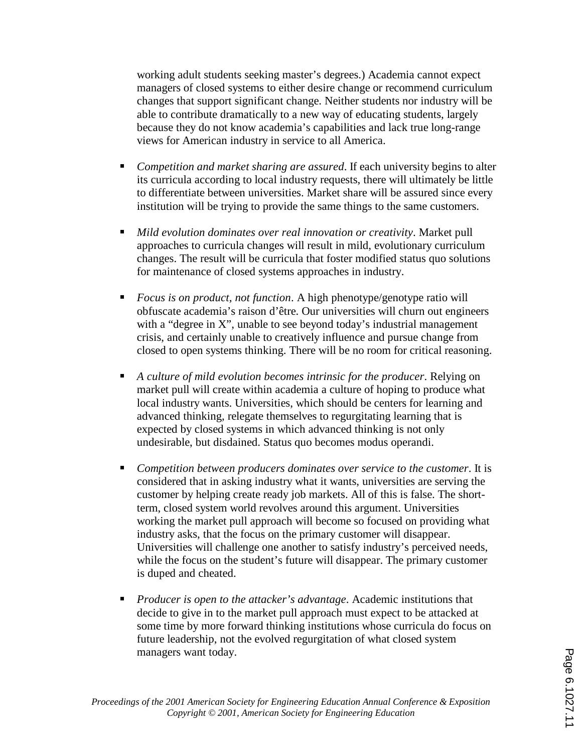working adult students seeking master's degrees.) Academia cannot expect managers of closed systems to either desire change or recommend curriculum changes that support significant change. Neither students nor industry will be able to contribute dramatically to a new way of educating students, largely because they do not know academia's capabilities and lack true long-range views for American industry in service to all America.

- *Competition and market sharing are assured*. If each university begins to alter its curricula according to local industry requests, there will ultimately be little to differentiate between universities. Market share will be assured since every institution will be trying to provide the same things to the same customers.
- *Mild evolution dominates over real innovation or creativity*. Market pull approaches to curricula changes will result in mild, evolutionary curriculum changes. The result will be curricula that foster modified status quo solutions for maintenance of closed systems approaches in industry.
- *Focus is on product, not function*. A high phenotype/genotype ratio will obfuscate academia's raison d'être. Our universities will churn out engineers with a "degree in X", unable to see beyond today's industrial management crisis, and certainly unable to creatively influence and pursue change from closed to open systems thinking. There will be no room for critical reasoning.
- *A culture of mild evolution becomes intrinsic for the producer*. Relying on market pull will create within academia a culture of hoping to produce what local industry wants. Universities, which should be centers for learning and advanced thinking, relegate themselves to regurgitating learning that is expected by closed systems in which advanced thinking is not only undesirable, but disdained. Status quo becomes modus operandi.
- *Competition between producers dominates over service to the customer*. It is considered that in asking industry what it wants, universities are serving the customer by helping create ready job markets. All of this is false. The shortterm, closed system world revolves around this argument. Universities working the market pull approach will become so focused on providing what industry asks, that the focus on the primary customer will disappear. Universities will challenge one another to satisfy industry's perceived needs, while the focus on the student's future will disappear. The primary customer is duped and cheated.
- *Producer is open to the attacker's advantage*. Academic institutions that decide to give in to the market pull approach must expect to be attacked at some time by more forward thinking institutions whose curricula do focus on future leadership, not the evolved regurgitation of what closed system managers want today.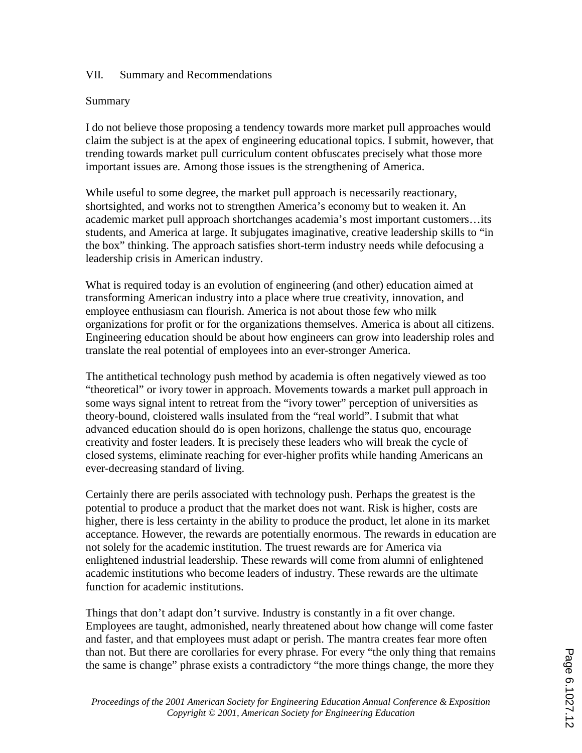### VII. Summary and Recommendations

### Summary

I do not believe those proposing a tendency towards more market pull approaches would claim the subject is at the apex of engineering educational topics. I submit, however, that trending towards market pull curriculum content obfuscates precisely what those more important issues are. Among those issues is the strengthening of America.

While useful to some degree, the market pull approach is necessarily reactionary, shortsighted, and works not to strengthen America's economy but to weaken it. An academic market pull approach shortchanges academia's most important customers…its students, and America at large. It subjugates imaginative, creative leadership skills to "in the box" thinking. The approach satisfies short-term industry needs while defocusing a leadership crisis in American industry.

What is required today is an evolution of engineering (and other) education aimed at transforming American industry into a place where true creativity, innovation, and employee enthusiasm can flourish. America is not about those few who milk organizations for profit or for the organizations themselves. America is about all citizens. Engineering education should be about how engineers can grow into leadership roles and translate the real potential of employees into an ever-stronger America.

The antithetical technology push method by academia is often negatively viewed as too "theoretical" or ivory tower in approach. Movements towards a market pull approach in some ways signal intent to retreat from the "ivory tower" perception of universities as theory-bound, cloistered walls insulated from the "real world". I submit that what advanced education should do is open horizons, challenge the status quo, encourage creativity and foster leaders. It is precisely these leaders who will break the cycle of closed systems, eliminate reaching for ever-higher profits while handing Americans an ever-decreasing standard of living.

Certainly there are perils associated with technology push. Perhaps the greatest is the potential to produce a product that the market does not want. Risk is higher, costs are higher, there is less certainty in the ability to produce the product, let alone in its market acceptance. However, the rewards are potentially enormous. The rewards in education are not solely for the academic institution. The truest rewards are for America via enlightened industrial leadership. These rewards will come from alumni of enlightened academic institutions who become leaders of industry. These rewards are the ultimate function for academic institutions.

Things that don't adapt don't survive. Industry is constantly in a fit over change. Employees are taught, admonished, nearly threatened about how change will come faster and faster, and that employees must adapt or perish. The mantra creates fear more often than not. But there are corollaries for every phrase. For every "the only thing that remains the same is change" phrase exists a contradictory "the more things change, the more they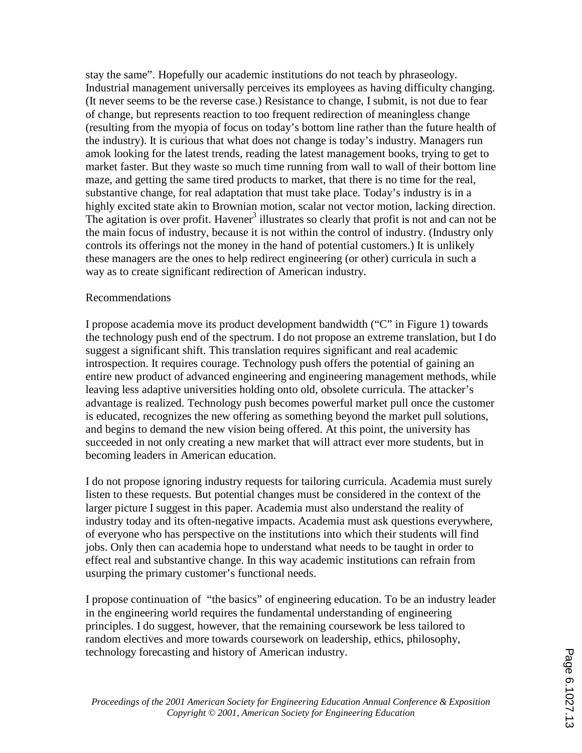stay the same". Hopefully our academic institutions do not teach by phraseology. Industrial management universally perceives its employees as having difficulty changing. (It never seems to be the reverse case.) Resistance to change, I submit, is not due to fear of change, but represents reaction to too frequent redirection of meaningless change (resulting from the myopia of focus on today's bottom line rather than the future health of the industry). It is curious that what does not change is today's industry. Managers run amok looking for the latest trends, reading the latest management books, trying to get to market faster. But they waste so much time running from wall to wall of their bottom line maze, and getting the same tired products to market, that there is no time for the real, substantive change, for real adaptation that must take place. Today's industry is in a highly excited state akin to Brownian motion, scalar not vector motion, lacking direction. The agitation is over profit. Havener<sup>3</sup> illustrates so clearly that profit is not and can not be the main focus of industry, because it is not within the control of industry. (Industry only controls its offerings not the money in the hand of potential customers.) It is unlikely these managers are the ones to help redirect engineering (or other) curricula in such a way as to create significant redirection of American industry.

#### Recommendations

I propose academia move its product development bandwidth ("C" in Figure 1) towards the technology push end of the spectrum. I do not propose an extreme translation, but I do suggest a significant shift. This translation requires significant and real academic introspection. It requires courage. Technology push offers the potential of gaining an entire new product of advanced engineering and engineering management methods, while leaving less adaptive universities holding onto old, obsolete curricula. The attacker's advantage is realized. Technology push becomes powerful market pull once the customer is educated, recognizes the new offering as something beyond the market pull solutions, and begins to demand the new vision being offered. At this point, the university has succeeded in not only creating a new market that will attract ever more students, but in becoming leaders in American education.

I do not propose ignoring industry requests for tailoring curricula. Academia must surely listen to these requests. But potential changes must be considered in the context of the larger picture I suggest in this paper. Academia must also understand the reality of industry today and its often-negative impacts. Academia must ask questions everywhere, of everyone who has perspective on the institutions into which their students will find jobs. Only then can academia hope to understand what needs to be taught in order to effect real and substantive change. In this way academic institutions can refrain from usurping the primary customer's functional needs.

I propose continuation of "the basics" of engineering education. To be an industry leader in the engineering world requires the fundamental understanding of engineering principles. I do suggest, however, that the remaining coursework be less tailored to random electives and more towards coursework on leadership, ethics, philosophy, technology forecasting and history of American industry.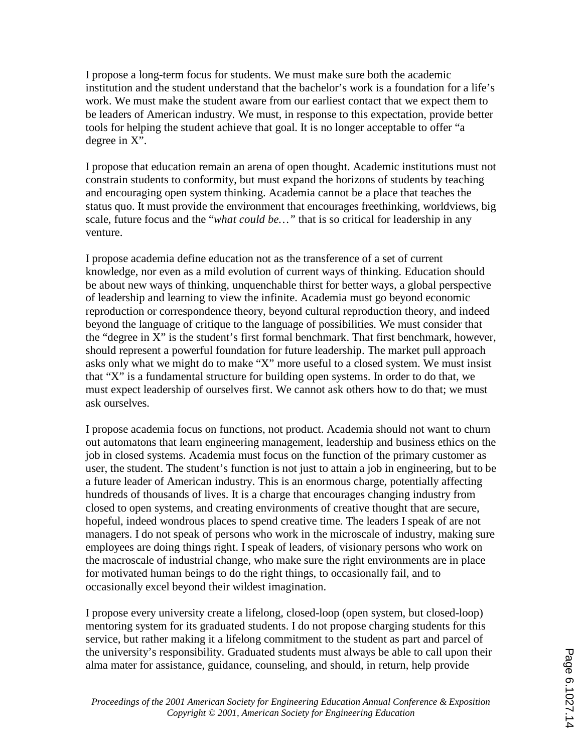I propose a long-term focus for students. We must make sure both the academic institution and the student understand that the bachelor's work is a foundation for a life's work. We must make the student aware from our earliest contact that we expect them to be leaders of American industry. We must, in response to this expectation, provide better tools for helping the student achieve that goal. It is no longer acceptable to offer "a degree in X".

I propose that education remain an arena of open thought. Academic institutions must not constrain students to conformity, but must expand the horizons of students by teaching and encouraging open system thinking. Academia cannot be a place that teaches the status quo. It must provide the environment that encourages freethinking, worldviews, big scale, future focus and the "*what could be…"* that is so critical for leadership in any venture.

I propose academia define education not as the transference of a set of current knowledge, nor even as a mild evolution of current ways of thinking. Education should be about new ways of thinking, unquenchable thirst for better ways, a global perspective of leadership and learning to view the infinite. Academia must go beyond economic reproduction or correspondence theory, beyond cultural reproduction theory, and indeed beyond the language of critique to the language of possibilities. We must consider that the "degree in X" is the student's first formal benchmark. That first benchmark, however, should represent a powerful foundation for future leadership. The market pull approach asks only what we might do to make "X" more useful to a closed system. We must insist that "X" is a fundamental structure for building open systems. In order to do that, we must expect leadership of ourselves first. We cannot ask others how to do that; we must ask ourselves.

I propose academia focus on functions, not product. Academia should not want to churn out automatons that learn engineering management, leadership and business ethics on the job in closed systems. Academia must focus on the function of the primary customer as user, the student. The student's function is not just to attain a job in engineering, but to be a future leader of American industry. This is an enormous charge, potentially affecting hundreds of thousands of lives. It is a charge that encourages changing industry from closed to open systems, and creating environments of creative thought that are secure, hopeful, indeed wondrous places to spend creative time. The leaders I speak of are not managers. I do not speak of persons who work in the microscale of industry, making sure employees are doing things right. I speak of leaders, of visionary persons who work on the macroscale of industrial change, who make sure the right environments are in place for motivated human beings to do the right things, to occasionally fail, and to occasionally excel beyond their wildest imagination.

I propose every university create a lifelong, closed-loop (open system, but closed-loop) mentoring system for its graduated students. I do not propose charging students for this service, but rather making it a lifelong commitment to the student as part and parcel of the university's responsibility. Graduated students must always be able to call upon their alma mater for assistance, guidance, counseling, and should, in return, help provide